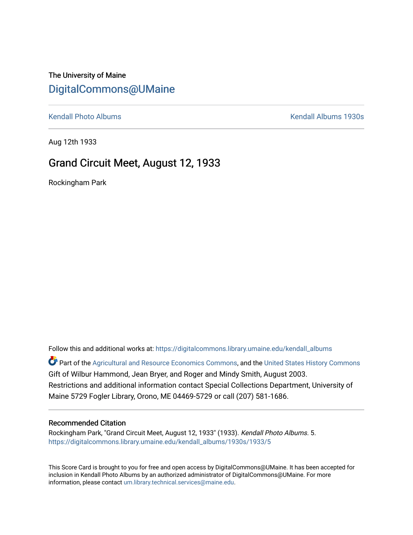## The University of Maine [DigitalCommons@UMaine](https://digitalcommons.library.umaine.edu/)

[Kendall Photo Albums](https://digitalcommons.library.umaine.edu/kendall_albums) **Kendall Albums 1930s** 

Aug 12th 1933

## Grand Circuit Meet, August 12, 1933

Rockingham Park

Follow this and additional works at: [https://digitalcommons.library.umaine.edu/kendall\\_albums](https://digitalcommons.library.umaine.edu/kendall_albums?utm_source=digitalcommons.library.umaine.edu%2Fkendall_albums%2F1930s%2F1933%2F5&utm_medium=PDF&utm_campaign=PDFCoverPages)  Part of the [Agricultural and Resource Economics Commons,](http://network.bepress.com/hgg/discipline/317?utm_source=digitalcommons.library.umaine.edu%2Fkendall_albums%2F1930s%2F1933%2F5&utm_medium=PDF&utm_campaign=PDFCoverPages) and the [United States History Commons](http://network.bepress.com/hgg/discipline/495?utm_source=digitalcommons.library.umaine.edu%2Fkendall_albums%2F1930s%2F1933%2F5&utm_medium=PDF&utm_campaign=PDFCoverPages) Gift of Wilbur Hammond, Jean Bryer, and Roger and Mindy Smith, August 2003. Restrictions and additional information contact Special Collections Department, University of

Maine 5729 Fogler Library, Orono, ME 04469-5729 or call (207) 581-1686.

## Recommended Citation

Rockingham Park, "Grand Circuit Meet, August 12, 1933" (1933). Kendall Photo Albums. 5. [https://digitalcommons.library.umaine.edu/kendall\\_albums/1930s/1933/5](https://digitalcommons.library.umaine.edu/kendall_albums/1930s/1933/5?utm_source=digitalcommons.library.umaine.edu%2Fkendall_albums%2F1930s%2F1933%2F5&utm_medium=PDF&utm_campaign=PDFCoverPages) 

This Score Card is brought to you for free and open access by DigitalCommons@UMaine. It has been accepted for inclusion in Kendall Photo Albums by an authorized administrator of DigitalCommons@UMaine. For more information, please contact [um.library.technical.services@maine.edu](mailto:um.library.technical.services@maine.edu).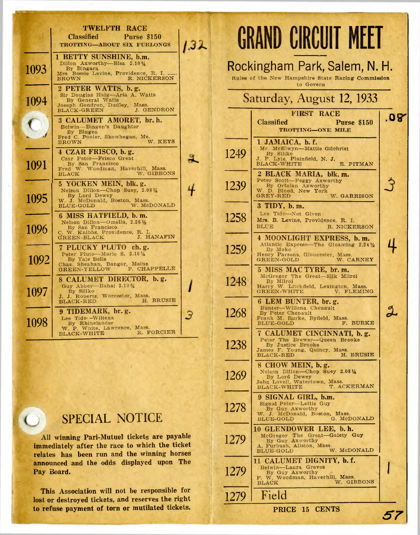|      | TWELFTH RACE                                                                                                                                                     |  |
|------|------------------------------------------------------------------------------------------------------------------------------------------------------------------|--|
|      | <b>Classified</b><br>Purse \$150<br>TROTTING-ABOUT SIX FURLONGS                                                                                                  |  |
| 1093 | 1 BETTY SUNSHINE, b.m.<br>Dillon Axworthy-Bisa 2.101/4<br>By Bingara<br>Mrs. Bessie Levine, Providence, R. I.<br><b>BROWN</b><br>R. NICKERSON                    |  |
| 1094 | 2 PETER WATTS, b.g.<br>Sir Douglas Haig-Aria A. Watts<br>By General Watts<br>Joseph Gendron, Dudley, Mass.<br>J. GENDRON<br>$_{\rm BLACK\text{-}GREEN}$          |  |
|      | 3 CALUMET AMORET, br. h.<br>Belwin-Bingen's Daughter<br>By Bingen<br>Fred C. Pooler, Skowhegan, Me.                                                              |  |
| 1091 | W. KEYS<br><b>BROWN</b><br>4 CZAR FRISCO, b.g.<br>Czar Peter-Frisco Great<br>By San Francisco<br>Fred W. Woodman, Haverhill, Mass.<br>W. GIBBONS<br><b>BLACK</b> |  |
| 1095 | 5 YOCKEN MEIN, blk. g.<br>Nelson Dillon-Chop Suey, 2.0814<br>By Lord Dewey<br>W. J. McDonald, Boston, Mass.<br>W. McDONALD<br>W. McDONALD                        |  |
| 1096 | 6 MISS HATFIELD, b.m.<br>Nelson Dillon-Omella, 2.261/2<br>Nelson Dinerancisco<br>By San Francisco<br>C. W. Knibbs, Providence, R. I.<br>J. HANAFIN               |  |
| 1092 | 7 PLUCKY PLUTO ch.g.<br>Peter Pluto-Marie S. 2.1614<br>By Yale Bells<br>Chas. Sheahan, Bangor, Maine<br>GREEN-YELLOW P. CHAPPELLE                                |  |
| 1097 | 8 CALUMET DIRECTOR, b.g.<br>Guy Abbey-Bahai 2.10%<br>By Siliko<br>J. J. Roberts, Worcester, Mass.<br>H. BRUSIE<br><b>BLACK-RED</b>                               |  |
| 1098 | 9 TIDEMARK, br. g.<br>Lee Tide--Wiltena<br>By Rhinelander<br>W. P. White, Lawrence, Mass.<br>E. FORCIER<br><b>BLACK-WHITE</b>                                    |  |

# SPECIAL NOTICE

 $\circ$ 

All winning Pari-Mutuel tickets are payable immediately after the race to which the ticket relates has been run and the winning horses announced and the odds displayed upon The Pay Board.

This Association will not be responsible for lost or destroyed tickets, and reserves the right to refuse payment of torn or mutilated tickets.

|      | <b>GRAND CIRCUIT MEET</b>                                                                                                                             |     |
|------|-------------------------------------------------------------------------------------------------------------------------------------------------------|-----|
|      | Rockingham Park, Salem, N. H.<br>Rules of the New Hampshire State Racing Commission<br>to Govern                                                      |     |
|      | Saturday, August 12, 1933                                                                                                                             |     |
|      | <b>FIRST RACE</b><br><b>Classified</b><br><b>Purse \$150</b><br><b>TROTTING-ONE MILE</b>                                                              | .08 |
| 1249 | 1 JAMAICA, b.f.<br>Mr. McElwyn-Mattie Gilchrist<br>By Siliko<br>J. F Lyle, Plainfield, N. J.<br>BLACK-WHITE<br>E. PITMAN                              |     |
| 1239 | 2 BLACK MARIA, blk. m.<br>Peter Scott-Peggy Axworthy<br>By Ortolan Axworthy<br>W. D. Blood, New York<br>GREY-RED<br>W. GARRISON                       |     |
| 1258 | 3 TIDY, b. m.<br>Lee Tide-Not Given<br>Mrs. B. Levine, Providence, R. I.<br><b>BLUE</b><br>R. NICKERSON                                               |     |
| 1259 | 4 MOONLIGHT EXPRESS, b. m.<br>Atlantic Express-The Gloaming 2.241/2<br>By Moko<br>Henry Parsons, Gloucester, Mass.<br>GREEN-GOLD<br>W. CARNEY         |     |
| 1248 | 5 MISS MAC TYRE, br. m.<br>McGregor The Great-Silk Milroi<br>By Milroi<br>Harry W. Litchfield, Lexington, Mass.<br><b>GREEN-WHITE</b><br>V. FLEMING   |     |
| 1268 | 6 LEM BUNTER, br. g.<br>Bunter-Willena Chenault<br>By Peter Chenault<br>Frank M. Burke, Byfield, Mass.<br>F. BURKE<br>BLUE-GOLD                       |     |
| 1238 | 7 CALUMET CINCINNATI, b.g.<br>Peter The Brewer-Queen Brooke<br>By Justice Brooke<br>James F. Young, Quincy, Mass.<br>H. BRUSIE<br><b>BLACK-RED</b>    |     |
| 1269 | 8 CHOW MEIN, b.g.<br>Nelson Dillon-Chop Suey 2.0814<br>By Lord Dewey<br>John Lovell, Watertown, Mass.<br>T. ACKERMAN<br><b>BLACK-WHITE</b>            |     |
| 1278 | 9 SIGNAL GIRL, b.m.<br>Signal Peter-Lettie Guy<br>By Guy Axworthy<br>W. J. McDonald, Boston, Mass.<br>G. McDONALD<br>BLUE-GOLD                        |     |
| 1279 | 10 GLENDOWER LEE, b.h.<br>McGregor The Great-Gaiety Guy<br>By Guy Axworthy<br>A. Furbush, Allston, Mass.<br>W. McDONALD<br>$\operatorname{BLUE-GOLD}$ |     |
| 1279 | 11 CALUMET DIGNITY, b. f.<br>Belwin-Laura Graves<br>By Guy Axworthy<br>F. W. Woodman, Haverhill, Mass.<br>W. GIBBONS<br><b>BLACK</b>                  |     |
| 1279 | Field                                                                                                                                                 |     |
|      | PRICE 15 CENTS                                                                                                                                        |     |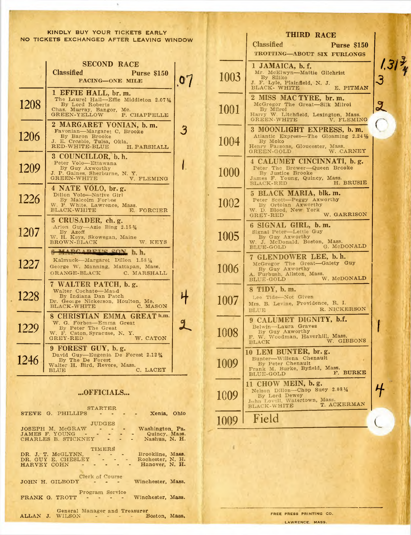$\boldsymbol{b}$ 

|      | <b>SECOND RACE</b><br><b>Classified</b><br><b>Purse \$150</b><br>PACING-ONE MILE                                                               |  |
|------|------------------------------------------------------------------------------------------------------------------------------------------------|--|
| 1208 | 1 EFFIE HALL, br. m.<br>The Laurel Hall-Effie Middleton 2.0714<br>By Lord Roberts<br>Chas. Murray, Bangor, Me.<br>GREEN-YELLOW<br>P. CHAPPELLE |  |
| 1206 | 2 MARGARET VONIAN, b.m.<br>Favonian-Margaret C. Brooke<br>By Baron Brooke<br>J. E. Crosbie, Tulsa, Okla.<br>RED-WHITE-BLUE<br>H. PARSHALL      |  |
| 1209 | 3 COUNCILLOR, b. h.<br>Peter Volo-Ettawana<br>By Guy Axworthy<br>J. P. Gaines, Sherburne, N. Y.<br>GREEN-WHITE<br>V. FLEMING                   |  |
| 1226 | 4 NATE VOLO, br. g.<br>Dillon Volo-Native Girl<br>By Malcolm Forbes<br>W. P. White, Lawrence, Mass.<br>BLACK-WHITE<br>E. FORCIER               |  |
| 1207 | 5 CRUSADER, ch. g.<br>Arion Guy-Azie Bing 2.15 %<br>By Azoff<br>W. H. Keys, Skowegan, Maine<br>W. KEYS<br>$\tt BROWN-BLACK$                    |  |
| 1227 | ADCADETE CON b. h.<br>Kalmuck-Margaret Dillon 1.581/4<br>George W. Manning, Mattapan, Mass.<br>$ORANGE-BLACK$<br>C. MARSHALL                   |  |
| 1228 | 7 WALTER PATCH, b.g.<br>Walter Cochato-Maud<br>By Indiana Dan Patch<br>Dr. George Nickerson, Houlton, Me.<br>BLACK-WHITE C. MASON              |  |
| 1229 | GREAT h.m.<br>8 CHRISTIAN EMMA<br>W. G. Forbes-Emma Great<br>W. G. Form<br>By Peter The Great<br>W. F. Caton, Syracuse, N. Y.<br>W. CATON      |  |
| 1246 | 9 FOREST GUY, b.g.<br>David Guy-Eugenia De Forest 2.12%<br>By The De Forest<br>Walter H. Bird, Revere, Mass.<br>C. LACEY<br>BLUE               |  |

## ...OFFICIALS...

| <b>STARTER</b><br>STEVE G. PHILLIPS $\cdot \cdot \cdot \cdot$<br>Xenia. Ohio                                                                       |
|----------------------------------------------------------------------------------------------------------------------------------------------------|
| <b>JUDGES</b><br>JOSEPH M. McGRAW - - - Washington, Pa.<br>JAMES F. YOUNG - - - - - Quincy, Mass.<br>CHARLES B. STICKNEY - - - Nashua, N. H.       |
| TIMERS<br>DR. J. T. McGLYNN. - - - - Brookline, Mass.<br>DR. GUY E. CHESLEY - - -<br>Rochester, N. H.<br>Hanover, N. H.<br>HARVEY COHN - - - - - - |
| Clerk of Course<br>Winchester, Mass.<br>JOHN H. GILBODY - - - -                                                                                    |
| Program Service<br>FRANK G. TROTT - - - - Winchester, Mass.                                                                                        |
| General Manager and Treasurer<br>ALLAN J. WILSON - - - - Boston, Mass,                                                                             |

|          | THIRD RACE                                                                                                                                            |           |
|----------|-------------------------------------------------------------------------------------------------------------------------------------------------------|-----------|
|          | <b>Classified</b><br><b>Purse \$150</b>                                                                                                               |           |
|          | TROTTING-ABOUT SIX FURLONGS                                                                                                                           |           |
| 1003     | 1 JAMAICA, b.f.<br>Mr. McElwyn-Mattie Gilchrist<br>By Siliko<br>J. F. Lyle, Plainfield, N. J.<br><b>BLACK- WHITE</b><br>E. PITMAN                     | 1,31<br>3 |
| 1001     | 2 MISS MAC TYRE, br. m.<br>McGregor The Great-Silk Milroi<br>By Milrol<br>Harry W. Litchfield, Lexington, Mass.<br><b>GREEN-WHITE</b><br>V. FLEMING   |           |
| 1004     | 3 MOONLIGHT EXPRESS, b. m.<br>Atlantic Express-The Gloaming 2.241/2<br>By Moko<br>Henry Parsons, Gloucester, Mass.<br>W. CARNEY<br>GREEN-GOLD         |           |
| $1000\,$ | 4 CALUMET CINCINNATI, b.g.<br>Peter The Brewer-Queen Brooke<br>By Justice Brooke<br>James F. Young, Quincy, Mass.<br>H. BRUSIE<br><b>BLACK-RED</b>    |           |
| 1002     | 5 BLACK MARIA, blk. m.<br>Peter Scott-Peggy Axworthy<br>By Ortolan Axworthy<br>W. D. Blood, New York<br>W. GARRISON<br><b>GREY-RED</b>                |           |
| 1005     | 6 SIGNAL GIRL, b.m.<br>Signal Peter-Lettie Guy<br>By Guy Axworthy<br>W. J. McDonald, Boston, Mass.<br>G. McDONALD<br>BLUE-GOLD                        |           |
| 1006     | 7 GLENDOWER LEE, b.h.<br>McGregor The Great-Gaiety Guy<br>By Guy Axworthy<br>A. Furbush, Allston, Mass.<br>W. McDONALD<br>BLUE-GOLD                   |           |
| 1007     | 8 TIDY, b.m.<br>Lee Tide-Not Given<br>Mrs. B. Levine, Providence, R. I.<br>R. NICKERSON<br><b>BLUE</b>                                                |           |
| 1008     | 9 CALUMET DIGNITY, b.f.<br>Belwin-Laura Graves<br>By Guy Axworthy<br>F. W. Woodman, Haverhill, Mass.<br>W. GIBBONS<br>BLACK                           |           |
| 1009     | LEM BUNTER, br.g.<br>10<br>Bunter-Willena Chenault<br>By Peter Chenault<br>Frank M. Burke, Byfield, Mass.<br>$_{\rm BURKE}$<br>F.<br><b>BLUE-GOLD</b> |           |
| 1009     | 11 CHOW MEIN, b.g.<br>Nelson Dillon-Chop Suey 2.081/4<br>By Lord Dewey<br>John Lovell, Watertown, Mass.<br>T. ACKERMAN<br>BLACK-WHITE                 |           |
| 1009     | Field                                                                                                                                                 |           |

FREE PRESS PRINTING CO. LAWRENCE, MASS.

×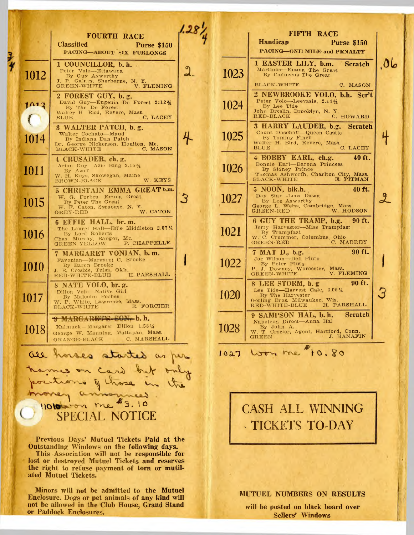|      | <b>FOURTH RACE</b><br><b>Classified</b><br><b>Purse \$150</b><br>PACING-ABOUT SIX FURLONGS                                                                     |  |
|------|----------------------------------------------------------------------------------------------------------------------------------------------------------------|--|
| 1012 | 1 COUNCILLOR, b. h.<br>Peter Volo--Ettawana<br>By Guy Axworthy<br>J. P. Gaines, Sherburne, N. Y.<br><b>GREEN-WHITE</b><br>V. FLEMING                           |  |
|      | 2 FOREST GUY, b.g.<br>David Guy-Eugenia De Forest 2:12 %<br>By The De Forest<br>Walter H. Bird, Revere, Mass.<br>C. LACEY<br>BLUE                              |  |
| 1014 | 3 WALTER PATCH, b.g.<br>Walter Cochato-Maud<br>By Indiana Dan Patch<br>Dr. George Nickerson, Houlton, Me.<br>BLACK-WHITE C. MASON                              |  |
| 1011 | 4 CRUSADER, ch. g.<br>Arion Guy-Azie Bing 2.15%<br>By Azoff<br>W. H. Keys, Skowegan, Maine<br>W. KEYS<br>BROWN-BLACK                                           |  |
| 1015 | 5 CHRISTAIN EMMA GREAT b.m.<br>W. G. Forbes-Emma Great<br>By Peter The Great<br>W. F. Caton, Syracuse, N. Y.<br>W. CATON<br>GREY-RED                           |  |
| 1016 | 6 EFFIE HALL, br. m.<br>The Laurel Hall-Effie Middleton 2.0714<br>By Lord Roberts<br>Chas. Murray, Bangor, Me.<br>P. CHAPPELLE<br>GREEN-YELLOW                 |  |
| 1010 | 7 MARGARET VONIAN, b.m.<br>Favonian-Margaret C. Brooke<br>By Baron Brooke<br>J. E. Crosbie, Tulsa, Okla.<br>H. PARSHALL<br>RED-WHITE-BLUE                      |  |
| 1017 | 8 NATE VOLO, br. g.<br>Dillon Volo-Native Girl<br>By Malcolm Forbes<br>W. P. White, Lawrence, Mass.<br>E. FORCIER<br>$_{\rm BLACK\text{-}WHITE}$               |  |
| 1018 | 80N-b.h.<br><b>WE HIGH PREMIES</b><br>Dillon $1.58\,\frac{1}{4}$<br>Kalmuck-Margaret<br>George W. Manning,<br>Mattapan, Mass.<br>C. MARSHALL<br>$ORANGE-BLACK$ |  |
|      | all horses started as<br>n card but<br>· of those<br>$\mathcal{A}^{\text{max}}$                                                                                |  |
|      | 11010 000 me \$3.10<br><b>SPECIAL NOTICE</b>                                                                                                                   |  |

Previous Days' Mutuel Tickets Paid at the Outstanding Windows on the following days.

This Association will not be responsible for lost or destroyed Mutuel Tickets and reserves the right to refuse payment of torn or mutilated Mutuel Tickets.

Minors will not be admitted to the Mutuel Enclosure. Dogs or pet animals of any kind will not be allowed in the Club House, Grand Stand or Paddock Enclosures.

|      | FIFTH RACE<br><b>Handicap</b><br>Purse \$150<br><b>PACING-ONE MILE and PENALTY</b>                                                                                     |  |
|------|------------------------------------------------------------------------------------------------------------------------------------------------------------------------|--|
| 1023 | 1 EASTER LILY, b.m.<br><b>Scratch</b><br>Martinos-Emma The Great<br>By Caduceus The Great<br><b>BLACK-WHITE</b><br>C. MASON                                            |  |
| 1024 | 2 NEWBROOKE VOLO, b.h. Scr't<br>Peter Volo-Leevasia, 2.1412<br>By Lee Tide<br>John Breslin, Brooklyn, N. Y.<br>RED-BLACK C. HOWARD                                     |  |
| 1025 | 3 HARRY LAUDER, b.g. Scratch<br>Count Daschoff-Queen Castle<br>By Tommy Finch<br>Walter H. Bird, Revere, Mass.<br>C. LACEY<br><b>BLUE</b>                              |  |
| 1026 | 4 BOBBY EARL, ch.g.<br>40 ft.<br>Bonnie Earl-Barona Princess<br>By Sidney Prince<br>Thomas Ashworth, Charlton City, Mass.<br>E. PITMAN<br><b>BLACK-WHITE</b>           |  |
| 1027 | 40 ft.<br>5 NOON, blk.h.<br>Day Star-Lees Dawn<br>By Lee Axworthy<br>George L. Weiss, Cambridge, Mass.<br>W. HODSON<br><b>GREEN-RED</b>                                |  |
| 1021 | 6 GUY THE TRAMP, b.g. 90 ft.<br>Jerry Harvester-Miss Trampfast<br>By Trampfast<br>W. C. Crummer, Columbus, Ohio<br>C. MABREY<br><b>GREEN-RED</b>                       |  |
| 1022 | 90 ft.<br>7 MAT D., b.g.<br>Joe Wilson—Dell Pluto<br>By Peter Pluto<br>P. J. Downey, Worcester, Mass.<br>V. FLEMING<br><b>GREEN-WHITE</b>                              |  |
| 1020 | 90 ft.<br>8 LEE STORM, b.g<br>Lee Tide-Harvest Gale, 2.05 1/4<br>By The Harvester<br>Gerling Bros. Milwaukee, Wis.<br>NGC NGC WITTE-RLUE H. PARSHALL<br>RED-WHITE-BLUE |  |
| 1028 | <b>Scratch</b><br>9 SAMPSON HAL, b.h.<br>Napoleon Direct-Anna Hal<br>By John A.<br>W. T. Crozier, Agent, Hartford, Conn.<br>J. HANAFIN<br><b>GREEN</b>                 |  |
| 1027 | Loon me 10.80                                                                                                                                                          |  |

 $\frac{8}{4}$ 

# **CASH ALL WINNING** TICKETS TO-DAY

**MUTUEL NUMBERS ON RESULTS** 

will be posted on black board over **Sellers' Windows**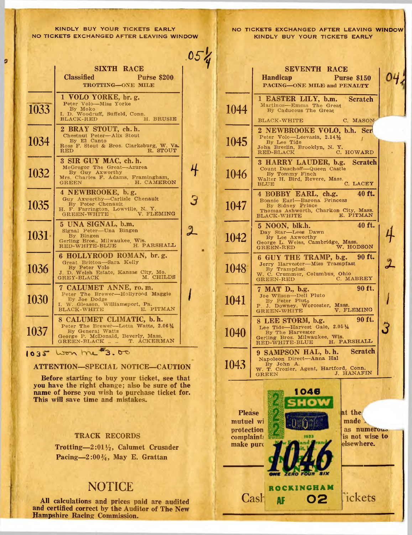$\overline{a}$ 

|      | <b>SIXTH RACE</b><br><b>Classified</b><br><b>Purse \$200</b><br><b>TROTTING-ONE MILE</b>                                                                       |   |
|------|----------------------------------------------------------------------------------------------------------------------------------------------------------------|---|
| 1033 | 1 VOLO YORKE, br. g.<br>Peter Volo-Miss Yorke<br>By Moko<br>I. D. Woodruff, Suffeld, Conn.<br>H. BRUSIE<br>BLACK-RED                                           |   |
| 1034 | 2 BRAY STOUT, ch. h.<br>Chestnut Peter-Alix Stout<br>By El Canto<br>Ross F. Stout & Bros. Clarksburg, W. Va.<br>RED R. STOUT                                   |   |
| 1032 | 3 SIR GUY MAC, ch. h.<br>McGregor The Great-Azurea<br>By Guy Axworthy<br>Mrs. Charles F. Adams, Framingham,<br><b>GREEN</b><br>H. CAMERON                      |   |
| 1035 | 4 NEWBROOKE, b.g.<br>Guy Axworthy-Carlisle Chenault<br>By Peter Chenault<br>H. F. Farrington, Lowville, N. Y.<br>GREEN-WHITE V. FLEMING                        | 3 |
| 1031 | 5 UNA SIGNAL, b.m.<br>Signal Peter-Una Bingen<br>By Bingen<br>Gerling Bros., Milwaukee, Wis.<br>RED-WHITE-BLUE H. PARSHALL                                     |   |
| 1036 | 6 HOLLYROOD ROMAN, br.g.<br>Great Britton-Sara Kelly<br>By Peter Volo<br>J. D. Welsh Estate, Kansas City, Mo.<br>GREY-BLACK M. CHILDS<br>$\texttt{GREY-BLACK}$ |   |
| 1030 | 7 CALUMET ANNE, ro.m.<br>Peter The Brewer-Hollyrood Maggie<br>By Joe Dodge<br>I. W. Gleason, Williamsport, Pa.<br>E. PITMAN<br><b>BLACK-WHITE</b>              |   |
| 1037 | 8 CALUMET CLIMATIC, b. h.<br>Peter The Brewer--Lotta Watts, 2.06 1/4<br>By General Watts<br>George P. McDonald, Beverly, Mass.<br>T. ACKERMAN<br>GREEN-BLACK   |   |
| 1035 | 908<br>Won 1                                                                                                                                                   |   |

### ATTENTION-SPECIAL NOTICE-CAUTION

Before starting to buy your ticket, see that you have the right change; also be sure of the name of horse you wish to purchase ticket for.<br>This will save time and mistakes.

## **TRACK RECORDS**

Trotting- $2:01\frac{1}{2}$ , Calumet Crusader Pacing-2:00 $\frac{3}{4}$ , May E. Grattan

# **NOTICE**

All calculations and prices paid are audited and certified correct by the Auditor of The New Hampshire Racing Commission.

NO TICKETS EXCHANGED AFTER LEAVING WINDOW KINDLY BUY YOUR TICKETS EARLY

|                                                                    | <b>SEVENTH RACE</b><br><b>Handicap</b><br><b>Purse \$150</b><br>PACING-ONE MILE and PENALTY                                                                                                     |    |
|--------------------------------------------------------------------|-------------------------------------------------------------------------------------------------------------------------------------------------------------------------------------------------|----|
| 1044                                                               | 1 EASTER LILY, b.m. Scratch<br>Martinos-Emma The Great<br>By Caduceus The Great<br>C. MASON<br>$_{\rm 5LACK-WHITE}$                                                                             |    |
| 1045                                                               | 2 NEWBROOKE VOLO, b.h. Scr<br>Peter Volc-Leevasia, 2.141/2<br>By Lee Tide<br>John Breslin, Brooklyn, N. Y.<br>C. HOWARD<br>RED-BLACK                                                            |    |
| 1046                                                               | 3 HARRY LAUDER, b.g. Scratch<br>Count Daschoff-Queen Castle<br>By Tommy Finch<br>Walter H. Bird, Revere, Mass.<br>C. LACEY<br>BLUE                                                              |    |
| 1047                                                               | 40 ft.<br>4 BOBBY EARL, ch.g.<br>Bonnie Earl-Barona Princess<br>By Sidney Prince<br>Thomas Ashworth, Charlton City, Mass.<br>E. PITMAN<br>$BLACK-WHITE$                                         |    |
| 1042                                                               | 40 ft.<br>5 NOON, blk.h.<br>Day Star-Lees Dawn<br>By Lee Axworthy<br>George L. Weiss, Cambridge, Mass.<br>W. HODSON<br><b>GREEN-RED</b>                                                         | サー |
| 1048                                                               | 6 GUY THE TRAMP, b.g. 90 ft.<br>Jerry Harvester-Miss Trampfast<br>By Trampfast<br>W. C. Crummer, Columbus, Ohio<br>W. C. Crummer, Columbus, Ohio<br>C. MABREY                                   |    |
| 1041                                                               | 90 ft.<br>7 MAT D., b.g.<br>Joe Wilson-Dell Pluto<br>By Peter Pluto<br>P J. Downey, Worcester, Mass.<br>V. FLEMING<br><b>GREEN-WHITE</b>                                                        |    |
| 1040                                                               | <b>190 ft.</b><br>8 LEE STORM, b.g.<br>Lee Tide-Harvest Gale, 2.051/4<br>By The Harvester<br>By The Harristics<br>Gerling Bros. Milwaukee, Wis.<br>PED-WHITE-BLUE H. PARSHALL<br>RED-WHITE-BLUE |    |
| 1043                                                               | Scratch<br>9 SAMPSON HAL, b.h.<br>Napoleon Direct-Anna Hal<br>By John A.<br>W. T. Crozier, Agent, Hartford, Conn.<br>J. HANAFIN<br><b>GREEN</b>                                                 |    |
| <b>Please</b><br>mutuel wi<br>protection<br>complaint<br>make purc | 1046<br>at the<br>made<br>as numerous<br>is not wise to<br>1933<br>elsewhere.<br>ran<br>ROCKINGHAM<br>ickets<br>Cash<br>02<br>AF                                                                |    |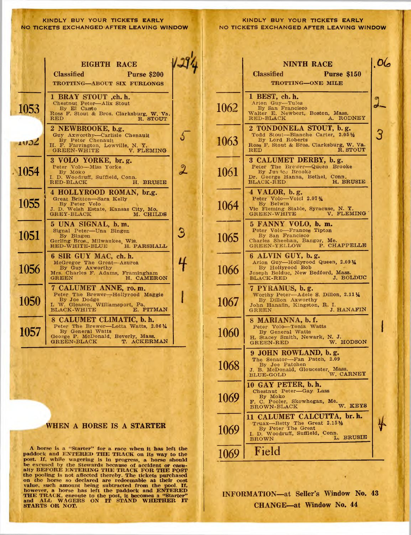### KINDLY BUY YOUR TICKETS EARLY NO TICKETS EXCHANGED AFTER LEAVING WINDOW

|         | <b>EIGHTH RACE</b><br><b>Classified</b><br>Purse \$200<br>TROTTING-ABOUT SIX FURLONGS                                                                             |                          |      |                                                        |
|---------|-------------------------------------------------------------------------------------------------------------------------------------------------------------------|--------------------------|------|--------------------------------------------------------|
| 1053    | 1 BRAY STOUT ,ch. h.<br>Chestnut Peter-Alix Stout<br>By El Canto<br>Ross F. Stout & Bros. Clarksburg, W. Va.<br>R. STOUT<br>RED                                   |                          | 1062 | $\mathbf{1}$<br>W<br>$\overline{\mathbf{R}}$           |
| 1032    | 2 NEWBROOKE, b.g.<br>Guy Axworthy-Carlisle Chenault<br>By Peter Chenault<br>H. F. Farrington, Lowville, N. Y. GREEN-WHITE V. FLEMING                              | $\overline{\mathcal{L}}$ | 1063 | $\overline{\mathbf{2}}$<br>$\mathbf R$<br>$\mathbf{R}$ |
| $-1054$ | 3 VOLO YORKE, br. g.<br>Peter Volo-Miss Yorke<br>By Moko<br>I. D. Woodruff, Suffield, Conn.<br>RED-BLACK<br>H. BRUSIE                                             | $\overline{\mathbf{2}}$  | 1061 | $\overline{\mathbf{3}}$<br>D<br>$\overline{B}$         |
| 1055    | 4 HOLLYROOD ROMAN, br.g.<br>Great Britton-Sara Kelly<br>By Peter Volo<br>J. D. Welsh Estate, Kansas City, Mo.<br><b>GREY-BLACK</b><br>M. CHILDS                   |                          | 1064 | $\overline{4}$<br>$\overline{\mathbf{v}}$<br>G         |
| 1051    | 5 UNA SIGNAL, b.m.<br>Signal Peter-Una Bingen<br>By Bingen<br>Gerling Bros., Milwaukee, Wis.<br>RED-WHITE-BLUE H. PARSHALL                                        | B                        | 1065 | $\frac{C}{G}$                                          |
| 1056    | 6 SIR GUY MAC, ch. h.<br>McGregor The Great-Azurea<br>By Guy Axworthy<br>Mrs. Charles F. Adams, Framingham<br>${\tt GREEN}$<br>H. CAMERON                         |                          | 1066 | $\frac{1}{6}$<br>$\overline{J}$<br>$rac{E}{7}$         |
| 1050    | 7 CALUMET ANNE, ro.m.<br>Peter The Brewer-Hollyrood Maggie<br>By Joe Dodge<br>I. W. Gleason, Williamsport, Pa.<br>E. PITMAN<br><b>BLACK-WHITE</b>                 |                          | 1067 | Ĵ<br>G                                                 |
| 1057    | 8 CALUMET CLIMATIC, b. h.<br>Peter The Brewer-Lotta Watts, 2.061/4<br>By General Watts<br>George P. McDonald, Beverly, Mass.<br><b>GREEN-BLACK</b><br>T. ACKERMAN |                          | 1060 | $\overline{s}$<br>$\frac{1}{6}$                        |
|         |                                                                                                                                                                   |                          | 1068 |                                                        |

### WHEN A HORSE IS A STARTER

A horse is a "Starter" for a race when it has left the paddock and ENTERED THE TRACK on its way to the paddock and ENTERED THE TRACK on its way to the<br>post. If, while wagering is in progress, a horse should<br>be excused by the Stewards because of accident or casu-<br>atty BEFORE ENTERING THE TRACK FOR THE POST<br>the pooling is not STARTS OR NOT.

|      | <b>NINTH RACE</b>                                                                                                                                            | OC             |
|------|--------------------------------------------------------------------------------------------------------------------------------------------------------------|----------------|
|      | <b>Classified</b><br><b>Purse \$150</b>                                                                                                                      |                |
|      | TROTTING-ONE MILE                                                                                                                                            |                |
| 1062 | 1 BEST, ch. h.<br>Arion Guy-Tules<br>By San Francisco<br>Walter E. Newbert, Boston, Mass.<br>A. RODNEY<br>$RED-BLACK$                                        | $\mathfrak{a}$ |
| 1063 | 2 TONDONELA STOUT, b.g.<br>Todd Stout---Blanche Carter, 2.051/2<br>By Lord Roberts<br>Ross F. Stout & Bros. Clarksburg, W. Va.<br>R. STOUT<br>$\bf{RED}$     |                |
| 1061 | 3 CALUMET DERBY, b.g.<br>Peter The Brewer-Queen Brooke<br>By Justice Brooke<br>Dr. George Hanna, Bethel, Conn.<br>$\texttt{Black-RED}$<br>H. BRUSIE          |                |
| 1064 | 4 VALOR, b.g.<br>Peter Volo-Voici 2.07%<br>Vic Fleming Stable, Syracuse, N. Y.<br>V. FLEMING<br><b>GREEN-WHITE</b>                                           |                |
| 1065 | 5 FANNY VOLO, b. m.<br>Peter Volo-Frances Tipton<br>By San Francisco<br>Charles Sheehan, Bangor, Me.<br>GREEN-YELLOW P. CHAPPELLE                            |                |
| 1066 | 6 ALVIN GUY, b.g.<br>Arion Guy-Hollyrood Queen, 2.0914<br>By Hollyrood Bob<br>Joseph Bolduc, New Bedford, Mass.<br>J. BOLDUC<br><b>BLACK-RED</b>             |                |
| 1067 | 7 PYRAMUS, b.g.<br>Worthy Peter-Adele S. Dillon, 2.11 1/4<br>By Dillon Axworthy<br>John Hanafin, Kingston, R. I.<br>J. HANAFIN<br>${\tt GREEN}$              |                |
| 1060 | 8 MARIANNA, b.f.<br>Peter Volo-Tonia Watts<br>By General Watts<br>H. Stacey Smith, Newark, N. J.<br>W. HODSON<br><b>GREEN-RED</b>                            |                |
| 1068 | 9 JOHN ROWLAND, b.g.<br>The Senator-Fan Patch, 2.09<br>By Joe Patchen<br>J. B. McDonald, Gloucester, Mass.<br>J. B. McDonald, Gloucester, Mass.<br>W. CARNEY |                |
| 1069 | 10 GAY PETER, b.h.<br>Chestnut Peter-Gay Lass<br>By Moko<br>F. C. Pooler, Skowhegan, Me.<br><b>KEYS</b><br>$\overline{w}$ .<br><b>BROWN-BLACK</b>            |                |
| 1069 | 11 CALUMET CALCUTTA, br. h.<br>Truax-Betty The Great 2.151/2<br>By Peter The Great<br>I. D. Woodruff, Suffield, Conn.<br><b>BRUSIE</b><br>L.<br><b>BROWN</b> |                |
| 1069 | Field                                                                                                                                                        |                |

INFORMATION-at Seller's Window No. 43 **CHANGE-at Window No. 44** 

 $\bullet$